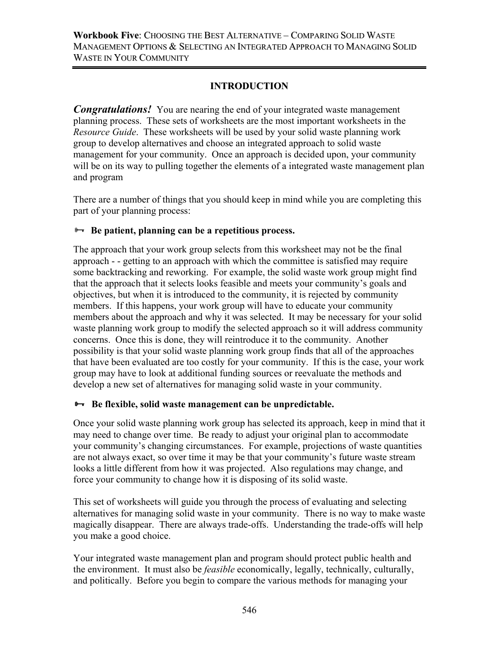# **INTRODUCTION**

*Congratulations!* You are nearing the end of your integrated waste management planning process. These sets of worksheets are the most important worksheets in the *Resource Guide*. These worksheets will be used by your solid waste planning work group to develop alternatives and choose an integrated approach to solid waste management for your community. Once an approach is decided upon, your community will be on its way to pulling together the elements of a integrated waste management plan and program

There are a number of things that you should keep in mind while you are completing this part of your planning process:

# $\rightarrow$  Be patient, planning can be a repetitious process.

The approach that your work group selects from this worksheet may not be the final approach - - getting to an approach with which the committee is satisfied may require some backtracking and reworking. For example, the solid waste work group might find that the approach that it selects looks feasible and meets your community's goals and objectives, but when it is introduced to the community, it is rejected by community members. If this happens, your work group will have to educate your community members about the approach and why it was selected. It may be necessary for your solid waste planning work group to modify the selected approach so it will address community concerns. Once this is done, they will reintroduce it to the community. Another possibility is that your solid waste planning work group finds that all of the approaches that have been evaluated are too costly for your community. If this is the case, your work group may have to look at additional funding sources or reevaluate the methods and develop a new set of alternatives for managing solid waste in your community.

# **<sup>8→</sup>** Be flexible, solid waste management can be unpredictable.

Once your solid waste planning work group has selected its approach, keep in mind that it may need to change over time. Be ready to adjust your original plan to accommodate your community's changing circumstances. For example, projections of waste quantities are not always exact, so over time it may be that your community's future waste stream looks a little different from how it was projected. Also regulations may change, and force your community to change how it is disposing of its solid waste.

This set of worksheets will guide you through the process of evaluating and selecting alternatives for managing solid waste in your community. There is no way to make waste magically disappear. There are always trade-offs. Understanding the trade-offs will help you make a good choice.

Your integrated waste management plan and program should protect public health and the environment. It must also be *feasible* economically, legally, technically, culturally, and politically. Before you begin to compare the various methods for managing your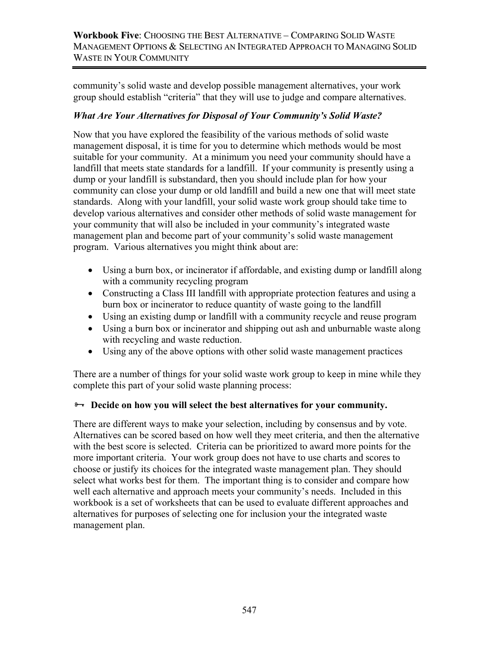community's solid waste and develop possible management alternatives, your work group should establish "criteria" that they will use to judge and compare alternatives.

# *What Are Your Alternatives for Disposal of Your Community's Solid Waste?*

Now that you have explored the feasibility of the various methods of solid waste management disposal, it is time for you to determine which methods would be most suitable for your community. At a minimum you need your community should have a landfill that meets state standards for a landfill. If your community is presently using a dump or your landfill is substandard, then you should include plan for how your community can close your dump or old landfill and build a new one that will meet state standards. Along with your landfill, your solid waste work group should take time to develop various alternatives and consider other methods of solid waste management for your community that will also be included in your community's integrated waste management plan and become part of your community's solid waste management program. Various alternatives you might think about are:

- Using a burn box, or incinerator if affordable, and existing dump or landfill along with a community recycling program
- Constructing a Class III landfill with appropriate protection features and using a burn box or incinerator to reduce quantity of waste going to the landfill
- Using an existing dump or landfill with a community recycle and reuse program
- Using a burn box or incinerator and shipping out ash and unburnable waste along with recycling and waste reduction.
- Using any of the above options with other solid waste management practices

There are a number of things for your solid waste work group to keep in mine while they complete this part of your solid waste planning process:

# $\rightarrow$  **Decide on how you will select the best alternatives for your community.**

There are different ways to make your selection, including by consensus and by vote. Alternatives can be scored based on how well they meet criteria, and then the alternative with the best score is selected. Criteria can be prioritized to award more points for the more important criteria. Your work group does not have to use charts and scores to choose or justify its choices for the integrated waste management plan. They should select what works best for them. The important thing is to consider and compare how well each alternative and approach meets your community's needs. Included in this workbook is a set of worksheets that can be used to evaluate different approaches and alternatives for purposes of selecting one for inclusion your the integrated waste management plan.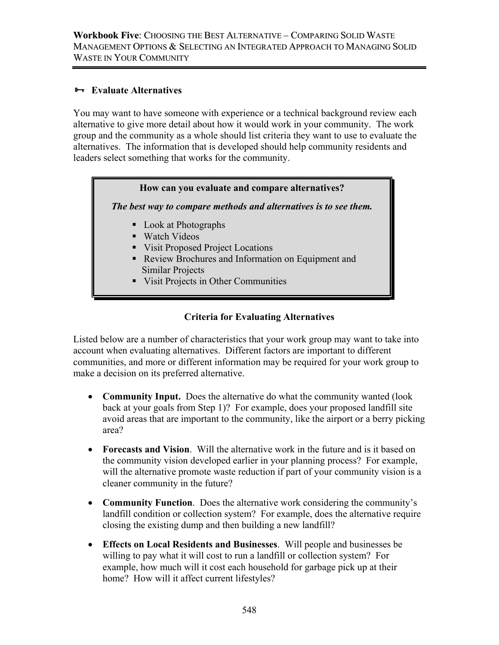### ³ **Evaluate Alternatives**

You may want to have someone with experience or a technical background review each alternative to give more detail about how it would work in your community. The work group and the community as a whole should list criteria they want to use to evaluate the alternatives. The information that is developed should help community residents and leaders select something that works for the community.

### **How can you evaluate and compare alternatives?**

*The best way to compare methods and alternatives is to see them.* 

- **Look at Photographs**
- Watch Videos
- Visit Proposed Project Locations
- Review Brochures and Information on Equipment and Similar Projects
- Visit Projects in Other Communities

## **Criteria for Evaluating Alternatives**

Listed below are a number of characteristics that your work group may want to take into account when evaluating alternatives. Different factors are important to different communities, and more or different information may be required for your work group to make a decision on its preferred alternative.

- **Community Input.** Does the alternative do what the community wanted (look back at your goals from Step 1)? For example, does your proposed landfill site avoid areas that are important to the community, like the airport or a berry picking area?
- **Forecasts and Vision**. Will the alternative work in the future and is it based on the community vision developed earlier in your planning process? For example, will the alternative promote waste reduction if part of your community vision is a cleaner community in the future?
- **Community Function**. Does the alternative work considering the community's landfill condition or collection system? For example, does the alternative require closing the existing dump and then building a new landfill?
- **Effects on Local Residents and Businesses**. Will people and businesses be willing to pay what it will cost to run a landfill or collection system? For example, how much will it cost each household for garbage pick up at their home? How will it affect current lifestyles?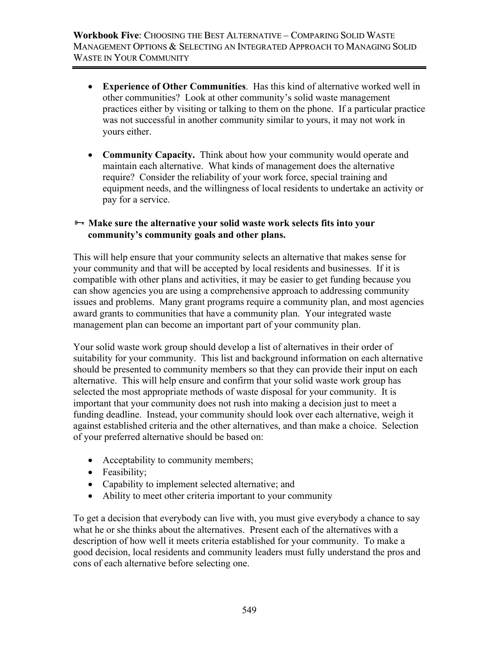- **Experience of Other Communities**. Has this kind of alternative worked well in other communities? Look at other community's solid waste management practices either by visiting or talking to them on the phone. If a particular practice was not successful in another community similar to yours, it may not work in yours either.
- **Community Capacity.** Think about how your community would operate and maintain each alternative. What kinds of management does the alternative require? Consider the reliability of your work force, special training and equipment needs, and the willingness of local residents to undertake an activity or pay for a service.

## <del> $\rightarrow$  **Make sure the alternative your solid waste work selects fits into your**</del> **community's community goals and other plans.**

This will help ensure that your community selects an alternative that makes sense for your community and that will be accepted by local residents and businesses. If it is compatible with other plans and activities, it may be easier to get funding because you can show agencies you are using a comprehensive approach to addressing community issues and problems. Many grant programs require a community plan, and most agencies award grants to communities that have a community plan. Your integrated waste management plan can become an important part of your community plan.

Your solid waste work group should develop a list of alternatives in their order of suitability for your community. This list and background information on each alternative should be presented to community members so that they can provide their input on each alternative. This will help ensure and confirm that your solid waste work group has selected the most appropriate methods of waste disposal for your community. It is important that your community does not rush into making a decision just to meet a funding deadline. Instead, your community should look over each alternative, weigh it against established criteria and the other alternatives, and than make a choice. Selection of your preferred alternative should be based on:

- Acceptability to community members;
- Feasibility;
- Capability to implement selected alternative; and
- Ability to meet other criteria important to your community

To get a decision that everybody can live with, you must give everybody a chance to say what he or she thinks about the alternatives. Present each of the alternatives with a description of how well it meets criteria established for your community. To make a good decision, local residents and community leaders must fully understand the pros and cons of each alternative before selecting one.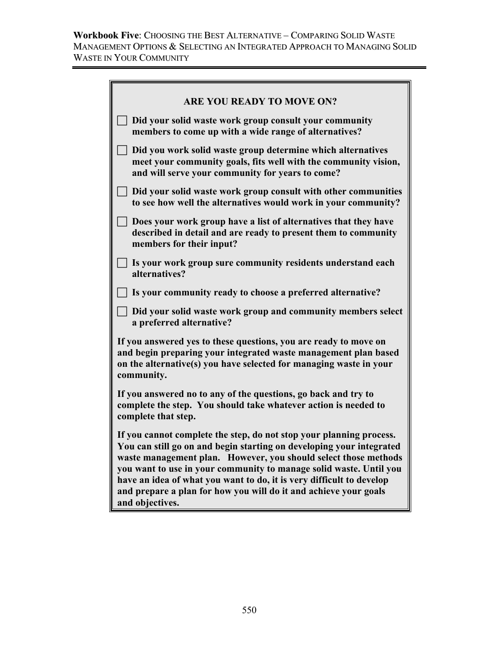| <b>ARE YOU READY TO MOVE ON?</b>                                                                                                                                                                                                                                                                                                                                                                                                                    |
|-----------------------------------------------------------------------------------------------------------------------------------------------------------------------------------------------------------------------------------------------------------------------------------------------------------------------------------------------------------------------------------------------------------------------------------------------------|
| Did your solid waste work group consult your community<br>members to come up with a wide range of alternatives?                                                                                                                                                                                                                                                                                                                                     |
| Did you work solid waste group determine which alternatives<br>meet your community goals, fits well with the community vision,<br>and will serve your community for years to come?                                                                                                                                                                                                                                                                  |
| Did your solid waste work group consult with other communities<br>to see how well the alternatives would work in your community?                                                                                                                                                                                                                                                                                                                    |
| Does your work group have a list of alternatives that they have<br>described in detail and are ready to present them to community<br>members for their input?                                                                                                                                                                                                                                                                                       |
| Is your work group sure community residents understand each<br>alternatives?                                                                                                                                                                                                                                                                                                                                                                        |
| Is your community ready to choose a preferred alternative?                                                                                                                                                                                                                                                                                                                                                                                          |
| Did your solid waste work group and community members select<br>a preferred alternative?                                                                                                                                                                                                                                                                                                                                                            |
| If you answered yes to these questions, you are ready to move on<br>and begin preparing your integrated waste management plan based<br>on the alternative(s) you have selected for managing waste in your<br>community.                                                                                                                                                                                                                             |
| If you answered no to any of the questions, go back and try to<br>complete the step. You should take whatever action is needed to<br>complete that step.                                                                                                                                                                                                                                                                                            |
| If you cannot complete the step, do not stop your planning process.<br>You can still go on and begin starting on developing your integrated<br>waste management plan. However, you should select those methods<br>you want to use in your community to manage solid waste. Until you<br>have an idea of what you want to do, it is very difficult to develop<br>and prepare a plan for how you will do it and achieve your goals<br>and objectives. |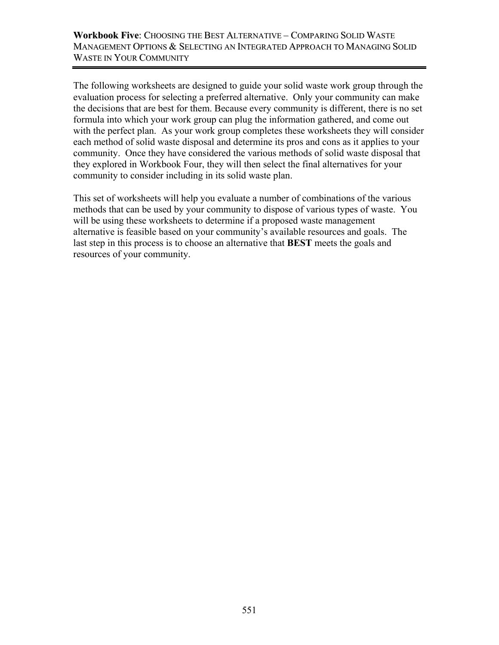The following worksheets are designed to guide your solid waste work group through the evaluation process for selecting a preferred alternative. Only your community can make the decisions that are best for them. Because every community is different, there is no set formula into which your work group can plug the information gathered, and come out with the perfect plan. As your work group completes these worksheets they will consider each method of solid waste disposal and determine its pros and cons as it applies to your community. Once they have considered the various methods of solid waste disposal that they explored in Workbook Four, they will then select the final alternatives for your community to consider including in its solid waste plan.

This set of worksheets will help you evaluate a number of combinations of the various methods that can be used by your community to dispose of various types of waste. You will be using these worksheets to determine if a proposed waste management alternative is feasible based on your community's available resources and goals. The last step in this process is to choose an alternative that **BEST** meets the goals and resources of your community.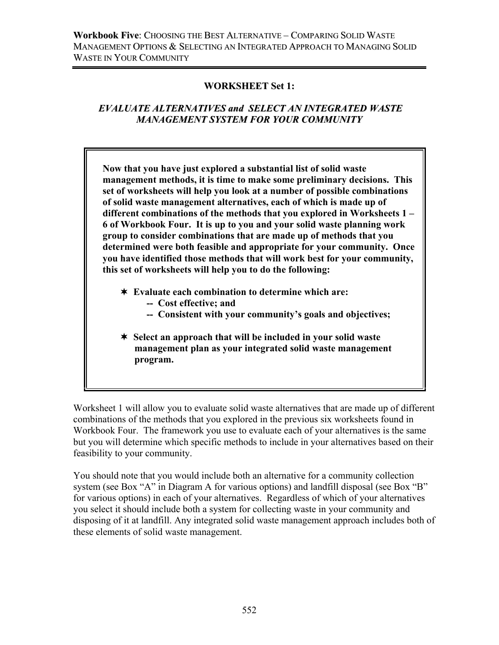## **WORKSHEET Set 1:**

# *EVALUATE ALTERNATIVES and SELECT AN INTEGRATED WASTE MANAGEMENT SYSTEM FOR YOUR COMMUNITY*

 **Now that you have just explored a substantial list of solid waste management methods, it is time to make some preliminary decisions. This set of worksheets will help you look at a number of possible combinations of solid waste management alternatives, each of which is made up of different combinations of the methods that you explored in Worksheets 1 – 6 of Workbook Four. It is up to you and your solid waste planning work group to consider combinations that are made up of methods that you determined were both feasible and appropriate for your community. Once you have identified those methods that will work best for your community, this set of worksheets will help you to do the following:** 

- **Evaluate each combination to determine which are:** 
	- **-- Cost effective; and**
	- **-- Consistent with your community's goals and objectives;**
- **Select an approach that will be included in your solid waste management plan as your integrated solid waste management program.**

Worksheet 1 will allow you to evaluate solid waste alternatives that are made up of different combinations of the methods that you explored in the previous six worksheets found in Workbook Four. The framework you use to evaluate each of your alternatives is the same but you will determine which specific methods to include in your alternatives based on their feasibility to your community.

You should note that you would include both an alternative for a community collection system (see Box "A" in Diagram A for various options) and landfill disposal (see Box "B" for various options) in each of your alternatives. Regardless of which of your alternatives you select it should include both a system for collecting waste in your community and disposing of it at landfill. Any integrated solid waste management approach includes both of these elements of solid waste management.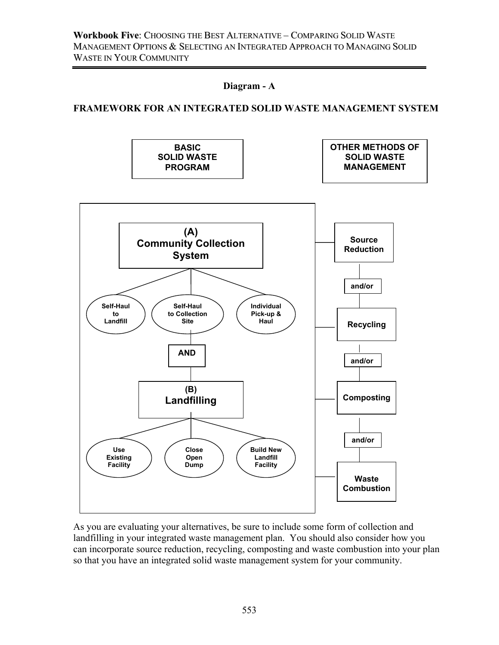

#### **FRAMEWORK FOR AN INTEGRATED SOLID WASTE MANAGEMENT SYSTEM**



As you are evaluating your alternatives, be sure to include some form of collection and landfilling in your integrated waste management plan. You should also consider how you can incorporate source reduction, recycling, composting and waste combustion into your plan so that you have an integrated solid waste management system for your community.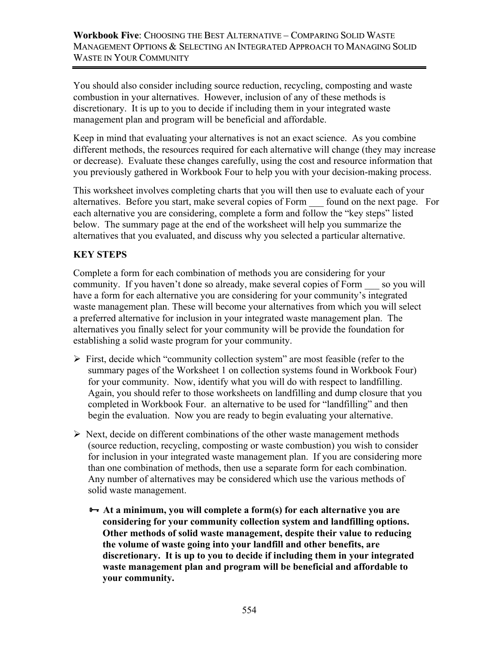You should also consider including source reduction, recycling, composting and waste combustion in your alternatives. However, inclusion of any of these methods is discretionary. It is up to you to decide if including them in your integrated waste management plan and program will be beneficial and affordable.

Keep in mind that evaluating your alternatives is not an exact science. As you combine different methods, the resources required for each alternative will change (they may increase or decrease). Evaluate these changes carefully, using the cost and resource information that you previously gathered in Workbook Four to help you with your decision-making process.

This worksheet involves completing charts that you will then use to evaluate each of your alternatives. Before you start, make several copies of Form \_\_\_ found on the next page. For each alternative you are considering, complete a form and follow the "key steps" listed below. The summary page at the end of the worksheet will help you summarize the alternatives that you evaluated, and discuss why you selected a particular alternative.

# **KEY STEPS**

Complete a form for each combination of methods you are considering for your community. If you haven't done so already, make several copies of Form so you will have a form for each alternative you are considering for your community's integrated waste management plan. These will become your alternatives from which you will select a preferred alternative for inclusion in your integrated waste management plan. The alternatives you finally select for your community will be provide the foundation for establishing a solid waste program for your community.

- $\triangleright$  First, decide which "community collection system" are most feasible (refer to the summary pages of the Worksheet 1 on collection systems found in Workbook Four) for your community. Now, identify what you will do with respect to landfilling. Again, you should refer to those worksheets on landfilling and dump closure that you completed in Workbook Four. an alternative to be used for "landfilling" and then begin the evaluation. Now you are ready to begin evaluating your alternative.
- $\triangleright$  Next, decide on different combinations of the other waste management methods (source reduction, recycling, composting or waste combustion) you wish to consider for inclusion in your integrated waste management plan. If you are considering more than one combination of methods, then use a separate form for each combination. Any number of alternatives may be considered which use the various methods of solid waste management.
	- $→$  **At a minimum, you will complete a form(s) for each alternative you are considering for your community collection system and landfilling options. Other methods of solid waste management, despite their value to reducing the volume of waste going into your landfill and other benefits, are discretionary. It is up to you to decide if including them in your integrated waste management plan and program will be beneficial and affordable to your community.**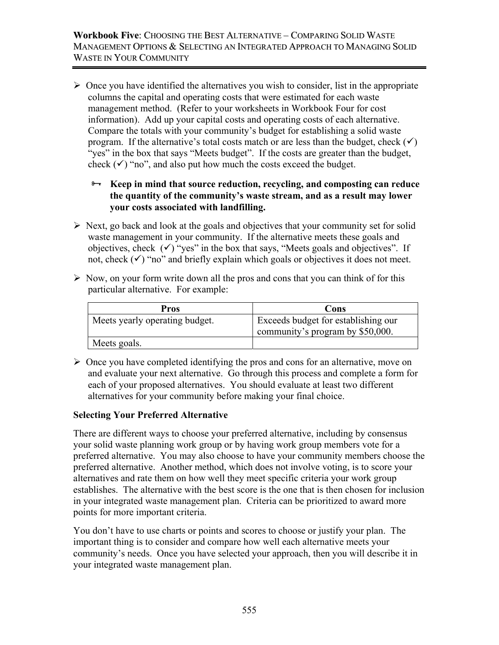$\triangleright$  Once you have identified the alternatives you wish to consider, list in the appropriate columns the capital and operating costs that were estimated for each waste management method. (Refer to your worksheets in Workbook Four for cost information). Add up your capital costs and operating costs of each alternative. Compare the totals with your community's budget for establishing a solid waste program. If the alternative's total costs match or are less than the budget, check  $(\checkmark)$ "yes" in the box that says "Meets budget". If the costs are greater than the budget, check  $(\checkmark)$  "no", and also put how much the costs exceed the budget.

### $\rightarrow$  **Keep in mind that source reduction, recycling, and composting can reduce the quantity of the community's waste stream, and as a result may lower your costs associated with landfilling.**

- $\triangleright$  Next, go back and look at the goals and objectives that your community set for solid waste management in your community. If the alternative meets these goals and objectives, check  $(\checkmark)$  "yes" in the box that says, "Meets goals and objectives". If not, check  $(\checkmark)$  "no" and briefly explain which goals or objectives it does not meet.
- $\triangleright$  Now, on your form write down all the pros and cons that you can think of for this particular alternative. For example:

| <b>Pros</b>                    | Cons                                                                    |
|--------------------------------|-------------------------------------------------------------------------|
| Meets yearly operating budget. | Exceeds budget for establishing our<br>community's program by \$50,000. |
| Meets goals.                   |                                                                         |

 $\triangleright$  Once you have completed identifying the pros and cons for an alternative, move on and evaluate your next alternative. Go through this process and complete a form for each of your proposed alternatives. You should evaluate at least two different alternatives for your community before making your final choice.

### **Selecting Your Preferred Alternative**

There are different ways to choose your preferred alternative, including by consensus your solid waste planning work group or by having work group members vote for a preferred alternative. You may also choose to have your community members choose the preferred alternative. Another method, which does not involve voting, is to score your alternatives and rate them on how well they meet specific criteria your work group establishes. The alternative with the best score is the one that is then chosen for inclusion in your integrated waste management plan. Criteria can be prioritized to award more points for more important criteria.

You don't have to use charts or points and scores to choose or justify your plan. The important thing is to consider and compare how well each alternative meets your community's needs. Once you have selected your approach, then you will describe it in your integrated waste management plan.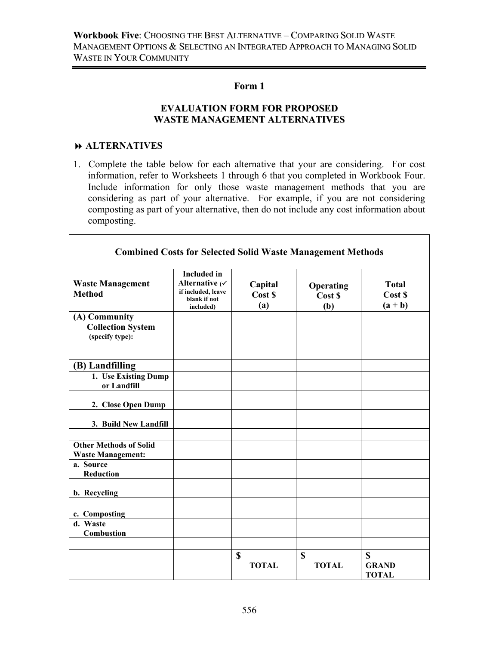#### **Form 1**

#### **EVALUATION FORM FOR PROPOSED WASTE MANAGEMENT ALTERNATIVES**

### **ALTERNATIVES**

 $\Gamma$ 

1. Complete the table below for each alternative that your are considering. For cost information, refer to Worksheets 1 through 6 that you completed in Workbook Four. Include information for only those waste management methods that you are considering as part of your alternative. For example, if you are not considering composting as part of your alternative, then do not include any cost information about composting.

 $\overline{\phantom{a}}$ 

| <b>Combined Costs for Selected Solid Waste Management Methods</b> |                                                                                         |                           |                             |                                             |  |
|-------------------------------------------------------------------|-----------------------------------------------------------------------------------------|---------------------------|-----------------------------|---------------------------------------------|--|
| <b>Waste Management</b><br><b>Method</b>                          | <b>Included</b> in<br>Alternative (V<br>if included, leave<br>blank if not<br>included) | Capital<br>Cost \$<br>(a) | Operating<br>Cost \$<br>(b) | <b>Total</b><br>Cost \$<br>$(a + b)$        |  |
| (A) Community<br><b>Collection System</b><br>(specify type):      |                                                                                         |                           |                             |                                             |  |
| (B) Landfilling                                                   |                                                                                         |                           |                             |                                             |  |
| 1. Use Existing Dump<br>or Landfill                               |                                                                                         |                           |                             |                                             |  |
| 2. Close Open Dump                                                |                                                                                         |                           |                             |                                             |  |
| 3. Build New Landfill                                             |                                                                                         |                           |                             |                                             |  |
| <b>Other Methods of Solid</b><br><b>Waste Management:</b>         |                                                                                         |                           |                             |                                             |  |
| a. Source<br><b>Reduction</b>                                     |                                                                                         |                           |                             |                                             |  |
| b. Recycling                                                      |                                                                                         |                           |                             |                                             |  |
| c. Composting                                                     |                                                                                         |                           |                             |                                             |  |
| d. Waste<br><b>Combustion</b>                                     |                                                                                         |                           |                             |                                             |  |
|                                                                   |                                                                                         | \$<br><b>TOTAL</b>        | \$<br><b>TOTAL</b>          | $\mathbf S$<br><b>GRAND</b><br><b>TOTAL</b> |  |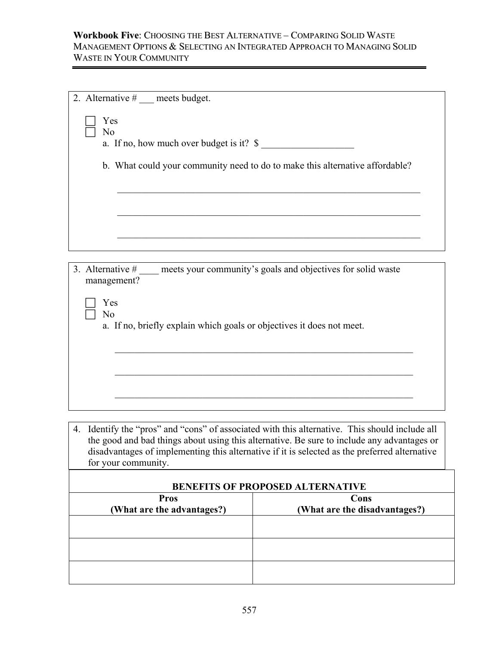| 2. Alternative $#$ ___ meets budget.                                                                                                                                                                                                                                                                                 |                                                                              |  |  |  |  |
|----------------------------------------------------------------------------------------------------------------------------------------------------------------------------------------------------------------------------------------------------------------------------------------------------------------------|------------------------------------------------------------------------------|--|--|--|--|
| Yes<br>N <sub>o</sub>                                                                                                                                                                                                                                                                                                |                                                                              |  |  |  |  |
| a. If no, how much over budget is it? $\$                                                                                                                                                                                                                                                                            |                                                                              |  |  |  |  |
|                                                                                                                                                                                                                                                                                                                      | b. What could your community need to do to make this alternative affordable? |  |  |  |  |
|                                                                                                                                                                                                                                                                                                                      |                                                                              |  |  |  |  |
|                                                                                                                                                                                                                                                                                                                      |                                                                              |  |  |  |  |
|                                                                                                                                                                                                                                                                                                                      |                                                                              |  |  |  |  |
| 3. Alternative $\#$ ____ meets your community's goals and objectives for solid waste<br>management?                                                                                                                                                                                                                  |                                                                              |  |  |  |  |
| Yes<br>N <sub>o</sub>                                                                                                                                                                                                                                                                                                |                                                                              |  |  |  |  |
| a. If no, briefly explain which goals or objectives it does not meet.                                                                                                                                                                                                                                                |                                                                              |  |  |  |  |
|                                                                                                                                                                                                                                                                                                                      |                                                                              |  |  |  |  |
|                                                                                                                                                                                                                                                                                                                      |                                                                              |  |  |  |  |
|                                                                                                                                                                                                                                                                                                                      |                                                                              |  |  |  |  |
| 4. Identify the "pros" and "cons" of associated with this alternative. This should include all<br>the good and bad things about using this alternative. Be sure to include any advantages or<br>disadvantages of implementing this alternative if it is selected as the preferred alternative<br>for your community. |                                                                              |  |  |  |  |
| <b>BENEFITS OF PROPOSED ALTERNATIVE</b>                                                                                                                                                                                                                                                                              |                                                                              |  |  |  |  |
| <b>Pros</b><br>(What are the advantages?)                                                                                                                                                                                                                                                                            | Cons<br>(What are the disadvantages?)                                        |  |  |  |  |
|                                                                                                                                                                                                                                                                                                                      |                                                                              |  |  |  |  |
|                                                                                                                                                                                                                                                                                                                      |                                                                              |  |  |  |  |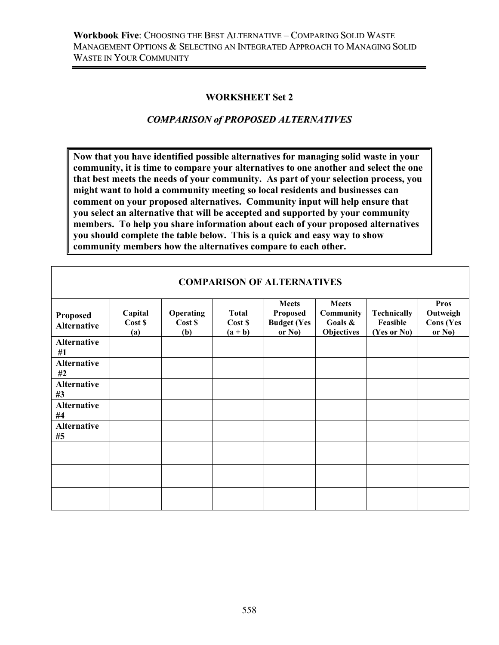### **WORKSHEET Set 2**

## *COMPARISON of PROPOSED ALTERNATIVES*

**Now that you have identified possible alternatives for managing solid waste in your community, it is time to compare your alternatives to one another and select the one that best meets the needs of your community. As part of your selection process, you might want to hold a community meeting so local residents and businesses can comment on your proposed alternatives. Community input will help ensure that you select an alternative that will be accepted and supported by your community members. To help you share information about each of your proposed alternatives you should complete the table below. This is a quick and easy way to show community members how the alternatives compare to each other.** 

| <b>Proposed</b><br><b>Alternative</b> | Capital<br>Cost \$<br>(a) | Operating<br>Cost \$<br>(b) | <b>Total</b><br>Cost \$<br>$(a + b)$ | <b>Meets</b><br>Proposed<br><b>Budget (Yes</b><br>or $No)$ | <b>Meets</b><br>Community<br>Goals &<br><b>Objectives</b> | <b>Technically</b><br>Feasible<br>(Yes or No) | <b>Pros</b><br>Outweigh<br><b>Cons</b> (Yes<br>or $No)$ |
|---------------------------------------|---------------------------|-----------------------------|--------------------------------------|------------------------------------------------------------|-----------------------------------------------------------|-----------------------------------------------|---------------------------------------------------------|
| <b>Alternative</b><br>#1              |                           |                             |                                      |                                                            |                                                           |                                               |                                                         |
| <b>Alternative</b><br>#2              |                           |                             |                                      |                                                            |                                                           |                                               |                                                         |
| <b>Alternative</b><br>#3              |                           |                             |                                      |                                                            |                                                           |                                               |                                                         |
| <b>Alternative</b><br>#4              |                           |                             |                                      |                                                            |                                                           |                                               |                                                         |
| <b>Alternative</b><br>#5              |                           |                             |                                      |                                                            |                                                           |                                               |                                                         |
|                                       |                           |                             |                                      |                                                            |                                                           |                                               |                                                         |
|                                       |                           |                             |                                      |                                                            |                                                           |                                               |                                                         |
|                                       |                           |                             |                                      |                                                            |                                                           |                                               |                                                         |

## **COMPARISON OF ALTERNATIVES**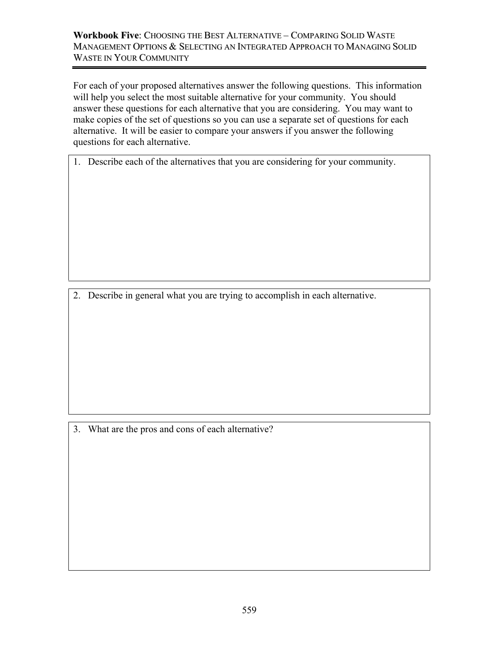For each of your proposed alternatives answer the following questions. This information will help you select the most suitable alternative for your community. You should answer these questions for each alternative that you are considering. You may want to make copies of the set of questions so you can use a separate set of questions for each alternative. It will be easier to compare your answers if you answer the following questions for each alternative.

1. Describe each of the alternatives that you are considering for your community.

2. Describe in general what you are trying to accomplish in each alternative.

3. What are the pros and cons of each alternative?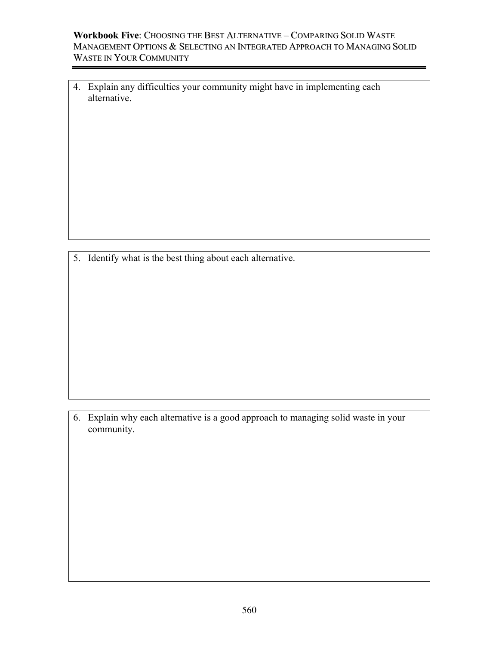4. Explain any difficulties your community might have in implementing each alternative.

5. Identify what is the best thing about each alternative.

6. Explain why each alternative is a good approach to managing solid waste in your community.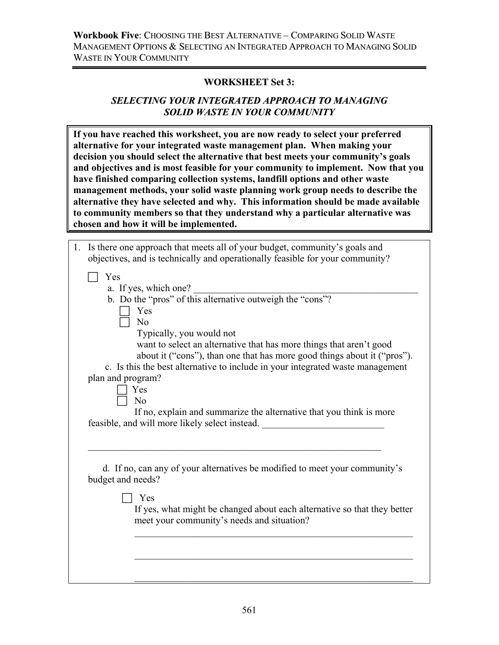#### **WORKSHEET Set 3:**

### *SELECTING YOUR INTEGRATED APPROACH TO MANAGING SOLID WASTE IN YOUR COMMUNITY*

**If you have reached this worksheet, you are now ready to select your preferred alternative for your integrated waste management plan. When making your decision you should select the alternative that best meets your community's goals and objectives and is most feasible for your community to implement. Now that you have finished comparing collection systems, landfill options and other waste management methods, your solid waste planning work group needs to describe the alternative they have selected and why. This information should be made available to community members so that they understand why a particular alternative was chosen and how it will be implemented.** 

| 1. Is there one approach that meets all of your budget, community's goals and<br>objectives, and is technically and operationally feasible for your community?                                                                                                                                                                                                                                                                                                                                                                                             |
|------------------------------------------------------------------------------------------------------------------------------------------------------------------------------------------------------------------------------------------------------------------------------------------------------------------------------------------------------------------------------------------------------------------------------------------------------------------------------------------------------------------------------------------------------------|
| Yes<br>a. If yes, which one?<br>b. Do the "pros" of this alternative outweigh the "cons"?<br>Yes<br>N <sub>o</sub><br>Typically, you would not<br>want to select an alternative that has more things that aren't good<br>about it ("cons"), than one that has more good things about it ("pros").<br>c. Is this the best alternative to include in your integrated waste management<br>plan and program?<br>Yes<br>N <sub>0</sub><br>If no, explain and summarize the alternative that you think is more<br>feasible, and will more likely select instead. |
| d. If no, can any of your alternatives be modified to meet your community's<br>budget and needs?<br>Yes                                                                                                                                                                                                                                                                                                                                                                                                                                                    |
| If yes, what might be changed about each alternative so that they better<br>meet your community's needs and situation?                                                                                                                                                                                                                                                                                                                                                                                                                                     |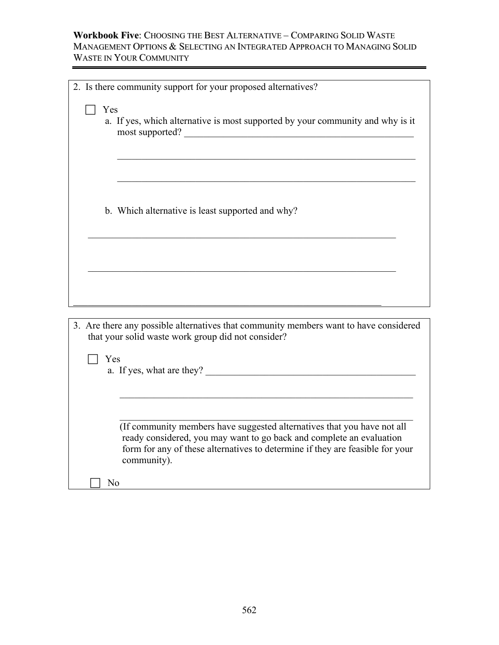| 2. Is there community support for your proposed alternatives?                                                                                                                                                                                   |
|-------------------------------------------------------------------------------------------------------------------------------------------------------------------------------------------------------------------------------------------------|
| Yes<br>a. If yes, which alternative is most supported by your community and why is it<br>most supported?                                                                                                                                        |
| b. Which alternative is least supported and why?                                                                                                                                                                                                |
|                                                                                                                                                                                                                                                 |
|                                                                                                                                                                                                                                                 |
| 3. Are there any possible alternatives that community members want to have considered<br>that your solid waste work group did not consider?<br>Yes                                                                                              |
| a. If yes, what are they?                                                                                                                                                                                                                       |
| (If community members have suggested alternatives that you have not all<br>ready considered, you may want to go back and complete an evaluation<br>form for any of these alternatives to determine if they are feasible for your<br>community). |
| N <sub>0</sub>                                                                                                                                                                                                                                  |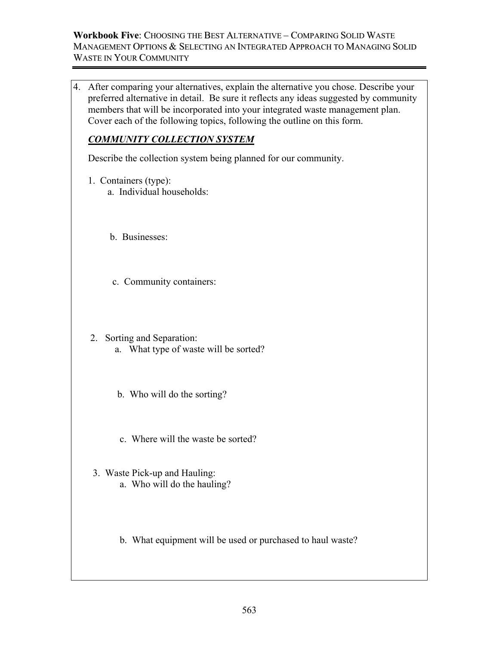4. After comparing your alternatives, explain the alternative you chose. Describe your preferred alternative in detail. Be sure it reflects any ideas suggested by community members that will be incorporated into your integrated waste management plan. Cover each of the following topics, following the outline on this form.

# *COMMUNITY COLLECTION SYSTEM*

Describe the collection system being planned for our community.

- 1. Containers (type):
	- a. Individual households:
	- b. Businesses:
	- c. Community containers:
- 2. Sorting and Separation:
	- a. What type of waste will be sorted?
	- b. Who will do the sorting?
	- c. Where will the waste be sorted?
- 3. Waste Pick-up and Hauling: a. Who will do the hauling?
	- b. What equipment will be used or purchased to haul waste?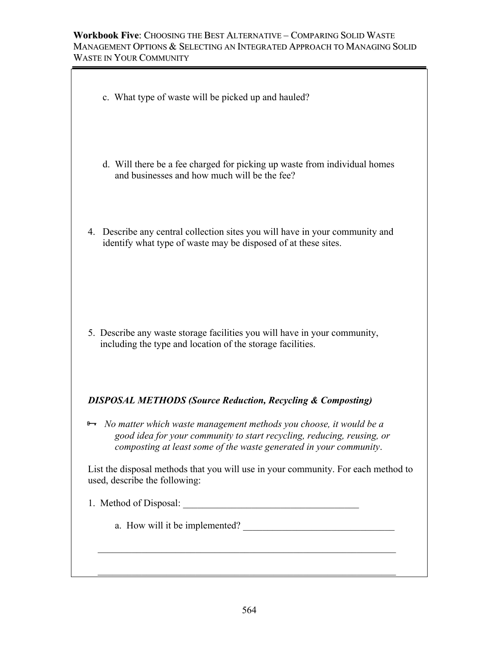- c. What type of waste will be picked up and hauled?
- d. Will there be a fee charged for picking up waste from individual homes and businesses and how much will be the fee?
- 4. Describe any central collection sites you will have in your community and identify what type of waste may be disposed of at these sites.

 5. Describe any waste storage facilities you will have in your community, including the type and location of the storage facilities.

# *DISPOSAL METHODS (Source Reduction, Recycling & Composting)*

<sup>8→</sup> *No matter which waste management methods you choose, it would be a good idea for your community to start recycling, reducing, reusing, or composting at least some of the waste generated in your community*.

 $\mathcal{L}_\text{max} = \frac{1}{2} \sum_{i=1}^{n} \frac{1}{2} \sum_{i=1}^{n} \frac{1}{2} \sum_{i=1}^{n} \frac{1}{2} \sum_{i=1}^{n} \frac{1}{2} \sum_{i=1}^{n} \frac{1}{2} \sum_{i=1}^{n} \frac{1}{2} \sum_{i=1}^{n} \frac{1}{2} \sum_{i=1}^{n} \frac{1}{2} \sum_{i=1}^{n} \frac{1}{2} \sum_{i=1}^{n} \frac{1}{2} \sum_{i=1}^{n} \frac{1}{2} \sum_{i=1}^{n} \frac{1$ 

 $\mathcal{L}_\text{max} = \frac{1}{2} \sum_{i=1}^{n} \frac{1}{2} \sum_{i=1}^{n} \frac{1}{2} \sum_{i=1}^{n} \frac{1}{2} \sum_{i=1}^{n} \frac{1}{2} \sum_{i=1}^{n} \frac{1}{2} \sum_{i=1}^{n} \frac{1}{2} \sum_{i=1}^{n} \frac{1}{2} \sum_{i=1}^{n} \frac{1}{2} \sum_{i=1}^{n} \frac{1}{2} \sum_{i=1}^{n} \frac{1}{2} \sum_{i=1}^{n} \frac{1}{2} \sum_{i=1}^{n} \frac{1$ 

 List the disposal methods that you will use in your community. For each method to used, describe the following:

# 1. Method of Disposal: \_\_\_\_\_\_\_\_\_\_\_\_\_\_\_\_\_\_\_\_\_\_\_\_\_\_\_\_\_\_\_\_\_\_\_\_

a. How will it be implemented?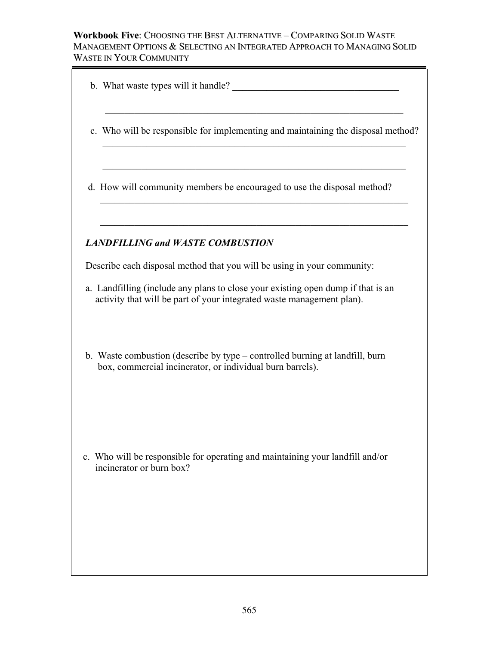| <b>LANDFILLING and WASTE COMBUSTION</b><br>Describe each disposal method that you will be using in your community: | c. Who will be responsible for implementing and maintaining the disposal method?<br>d. How will community members be encouraged to use the disposal method? |                                                                                                                                                                                                                                                                                                                                                                                         |
|--------------------------------------------------------------------------------------------------------------------|-------------------------------------------------------------------------------------------------------------------------------------------------------------|-----------------------------------------------------------------------------------------------------------------------------------------------------------------------------------------------------------------------------------------------------------------------------------------------------------------------------------------------------------------------------------------|
|                                                                                                                    |                                                                                                                                                             |                                                                                                                                                                                                                                                                                                                                                                                         |
|                                                                                                                    |                                                                                                                                                             |                                                                                                                                                                                                                                                                                                                                                                                         |
|                                                                                                                    |                                                                                                                                                             |                                                                                                                                                                                                                                                                                                                                                                                         |
|                                                                                                                    |                                                                                                                                                             |                                                                                                                                                                                                                                                                                                                                                                                         |
|                                                                                                                    |                                                                                                                                                             |                                                                                                                                                                                                                                                                                                                                                                                         |
|                                                                                                                    |                                                                                                                                                             |                                                                                                                                                                                                                                                                                                                                                                                         |
| incinerator or burn box?                                                                                           |                                                                                                                                                             |                                                                                                                                                                                                                                                                                                                                                                                         |
|                                                                                                                    |                                                                                                                                                             | a. Landfilling (include any plans to close your existing open dump if that is an<br>activity that will be part of your integrated waste management plan).<br>b. Waste combustion (describe by type – controlled burning at landfill, burn<br>box, commercial incinerator, or individual burn barrels).<br>c. Who will be responsible for operating and maintaining your landfill and/or |